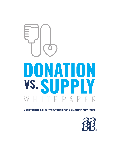

**AABB TRANSFUSION SAFETY/PATIENT BLOOD MANAGEMENT SUBSECTION**

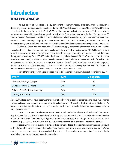## **Introduction**

#### **BY RICHARD R. GAMMON, MD**

The availability of safe blood is a key component of current medical practice.<sup>1</sup> Although utilization is decreasing in many settings, blood is transfused during 10 to 15% of all hospitalizations. More than 16% of Medicare claims include blood use.<sup>2</sup> In the United States (US), the blood supply is collected by a network of federally regulated but non-governmental independent nonprofit organizations. This system has proved robust for more than 50 years. A decade of decreased blood utilization and changes in health care delivery (e.g., new effective treatments for anemia, more endoscopic surgery, etc.) have altered market conditions sufficiently to place the sustainability of the current system at risk and, therefore, have made patient blood management more important and relevant.<sup>3</sup>

Striking a balance between adequate collection and supply is something that blood centers and hospitals struggle with every day. This was a particular challenge in the aftermath of the September 11, 2001 terrorist attacks, when the executive branch of the US government issued messages prompting an increase in blood donations throughout the country. Even if 50,000 victims had been hospitalized, instead of the 200 who were admitted, more blood than was already available could not have been used immediately. Nevertheless, almost half a million units of blood were collected nationwide in the days following the attacks.<sup>4</sup> Liquid blood has a shelf-life of 42 days, and the American Red Cross, which ordinarily has to discard 3% of its stored blood supplies because of the expiration date, in this case discarded 17%(49,860 units) of the 287,000 extra units collected.<sup>5</sup>

Many other events prompting an increase in blood donations have occurred since September 11, 2001.<sup>6-9</sup>

| <b>EVENT</b>                            | <b>DATE</b> | # RBC USED |
|-----------------------------------------|-------------|------------|
| Minneapolis Bridge Collapse             | 2007        | 50         |
| <b>Boston Marathon Bombing</b>          | 2013        | 168        |
| <b>Orlando Pulse Nightclub Shooting</b> | 2016        | 292        |
| Las Vegas Shooting                      | 2017        | 500        |

Since 2001, blood centers have become more adept at addressing excessive collections and have implemented various policies such as requiring appointments, collecting only O-negative Red Blood Cells (RBCs) or AB plasma, and using social media to remind the public that the most important donation needs occur before a mass casualty event.<sup>6</sup>

There availability of blood is important to patients with medical conditions such as hemoglobinopathies (e.g., thalassemia and sickle cell anemia) and myelodysplastic syndromes that are transfusion-dependent. Review of the literature is limited by a paucity of high-quality studies on this topic. Better designed studies are warranted.<sup>10</sup> In its latest guidelines, AABB was unable to make a recommendation on this issue due to lack of evidence.<sup>11</sup>

Regarding the topic of supply, this may include both shortages that occur during routine scenarios such as holidays and summer vacation when collections decrease and during disasters as described earlier. While surgery and procedures may not be cancelled, delays in receiving blood may mean a patient has to stay in the hospital or clinic longer to await a needed procedure.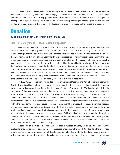In recent years, implementation of the Choosing Wisely initiative of the American Board of Internal Medicine Foundation has helped physicians and patients engage in conversations to reduce overuse of tests and procedures and support physician efforts to help patients make smart and effective care choices.<sup>12</sup> This white paper was developed by subject matter experts to provide direction to those programs just beginning the journey of blood product inventory management or to established programs interested in improving their impact and success.

### **Donation**

#### **BY RHONDA COOKE, MD, AND LIZABETH ROSENBAUM, MD**

#### **Disaster Management – Blood Center Perspective**

Since the September 11, 2001 terror attacks on the World Trade Center and Pentagon, there has been increased awareness regarding excessive blood donations in response to mass casualty events. There was a concern that upwards of a half million more units of blood were collected in the two months following the attacks than was normal for that time of year. Sadly, this tremendous response to help others ran headlong into the limits of our blood supply systems to store, maintain, and use the donated blood. Thousands of donors were upset to read news reports that a large portion of the blood collected in this period had to be discarded. <sup>13</sup> As an industry, the blood community was not prepared to handle the large influx of donors and recognized the need to participate in and be better integrated into national disaster planning. Also identified was that emergency agencies and medical professionals outside of the blood community were often unaware of the complexities of blood collection, processing, distribution and storage; many agencies outside of the blood industry have the misconception that large quantities of blood components are readily available at all times in hospitals.<sup>14</sup>

In 2003, AABB's Interorganizational Task Force on Domestic Disasters and Acts of Terrorism created the Disaster Operations Handbook, an online tool designed for blood centers and hospital blood banks to help prepare and respond to disasters and acts of terrorism that could affect the US blood supply.<sup>15</sup> The handbook highlights the importance of blood centers reaching out to their local emergency medical agencies in order for blood management to be incorporated into the overall disaster plan. There are various ways to categorize a disaster in the blood community – there are disasters "external to the blood center," which could be due to natural phenomena such as hurricanes or flooding, or to human cause such as acts of terror, chemical spills or mass casualty events; or disasters "within the blood center" that could cause acute loss in mass quantities of product, for example from fire, flooding, or large-scale manufacturing failures. Depending on the type of disaster, various parts of the blood center would be affected. For example, major pandemic disasters could greatly affect blood collections. Donors may not be able to donate due to illness and employees may be too ill to work. Widespread natural disasters may shut down a local center or disrupt transportation routes/vehicles between the blood center and local hospitals. Mass casualty events could quickly exhaust a local hospital's or a local center's blood inventory and, since the need for blood is constant, this requires coordinated national media messages.

Depending on the type of disaster, the donor base in the local area may not be able to donate, and the local center may not be able to adequately collect, process, or distribute the blood. Blood centers therefore need to be prepared to handle a diverse type of disasters and be fully integrated into their local hospital and areawide emergency medical disaster plans. Equally important, blood centers need to be connected at a national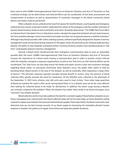level, such as with AABB's Interorganizational Task Force on Domestic Disasters and Acts of Terrorism, so that a national strategy can be determined, and national efforts can be coordinated. At this level, procurement and transportation of products as well as dissemination of consistent messages to the blood community, blood donors and media could be performed.

When a disaster occurs, a blood center must first assess the need for blood. Local hospitals and emergency medical services can be contacted to better understand the nature of the emergency and the number and types of injuries; blood inventory levels at each local facility and center should be determined.<sup>4</sup> The AABB Task Force offers an Adverse Event Calculation Form to help blood centers calculate the expected red blood cell unit need; however, this form predates damage control resuscitation principles and does not incorporate plasma or platelet estimates.<sup>8</sup> Although many blood providers offer online ordering systems, software specifically designed for disaster inventory management could not be found during research for this paper. Given the potential acuity of blood needs during a disaster, the ability to view hospitals' and blood centers' inventory levels by product type and blood group in "real time" could greatly improve inventory management.

Second, a blood center should activate their emergency communication plan as soon as reasonably possible after the event. AABB's Interorganizational Task Force on Domestic Disasters and Acts of Terrorism stresses the importance of a blood center having a communication plan in order to quickly contact internal staff, the hospitals, emergency response organizations, as well as the Task Force so that national efforts can be coordinated. The Task Force can also help ensure the media and public receive a clear and consistent message regarding blood needs. As previously mentioned, when disasters occur, the public often wants to help by donating blood. Blood centers in the area of the disaster, as well as nationally, often experience a large influx of donors.<sup>6</sup> This altruistic response typically provides minimal benefit to victims, since the amount of blood collected often greatly exceeds the need for transfusion. Of the 500,000 units collected in the aftermath of the September 11, 2001 terror attacks, only 260 units were used to treat victims.<sup>7</sup> Even when large quantities of blood are needed, the need is often acute; having blood flown in to a disaster area can be far more efficient than waiting for collected blood to be ready for distribution. In addition, the donor surge during a disaster can ironically compound the problem.<sup>8</sup> When the disaster has ended, there tends to be blood shortages, since "everyone" has already donated.

Blood collection centers must also publicize the need for a constant supply of blood before a disaster occurs. Donor messaging must communicate that blood collected today will not be used today, so future donations will be required to replace and maintain the local and national blood supplies. Most importantly, the blood community must determine how we can best increase security of our blood supply by harnessing the immediate altruistic human response to disaster into patterns of regular future blood and apheresis platelet donations.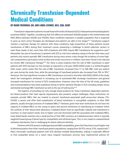### **Chronically Transfusion-Dependent Medical Conditions**

#### **BY MARK FRIEDMAN, DO, AND LINDA LEVINUS, MLS, CQA, RABT**

Transfusion-dependent patients include those with sickle cell disease (SCD), thalassemia and myelodysplastic syndrome (MDS). Together, considering that SCD affects an estimated 100,000 people in the United States and MDS affects between 60,000 and 170,000, these conditions represent a sizeable population that is expected to grow as more active therapies are developed and patients are able to live longer.<sup>16,17</sup> Transfusion support remains a mainstay therapy for patients with these conditions; high proportions of these patients receive transfusions of RBCs during their treatment course, presenting a challenge to blood collection centers to meet these needs. In fact, more than 40% of patients with MDS require RBC transfusions for supportive care.<sup>18</sup> Meanwhile, the rate of transfusion in patients with SCD is a bit more nebulous owing to the fact that many such patients only receive sporadic RBC transfusions during more severe crises though the incidence of some highrisk complications, particularly initial strokes and stroke recurrence in children, have been found to be reduced by chronic RBC transfusion therapy.19,20 Yet, there is some evidence that the rate of RBC transfusion in adult patients with SCD has been on the increase as reported in a 10-year (2000-2009) study in a United Kingdom (UK) center, which noted that the rate of RBC transfusion increased from 1.7 to 3.86 RBC units per patient per year during the study time, while the percentage of transfused patients also increased from 15% to 19%.21 Moreover, the most significant increase in RBC transfusions occurred in the latter half (2005-2009) of the study, which the investigators attributed to increasing use of automated RBC exchange transfusions and general increased transfusions for control of SCD complications. However, since the time of the UK study, guidelines and recommendations have been published aiming to better optimize therapy in SCD, including simple versus automated exchange RBC transfusion as well as the use of hydroyurea.<sup>22-24</sup>

The logistics of providing not only enough blood products for these transfusion-dependent patients, but blood products that meet special requirements also presents unique challenges. Many institutions, for example, provide RBCs that are treated to prevent transfusion-associated graft-versus-host disease (TA-GVHD), a severe and often fatal complication of blood transfusion in susceptible recipients, to their MDS patients, usually through provision of irradiated RBCs.<sup>25</sup> However, given that most institutions do not have the capacity to irradiate RBCs on site, owing to space and security limitations of maintaining an irradiator within the confines of their blood bank laboratory, irradiated blood must be specifically ordered and maintained in inventory to meet patient needs. Due to higher cost and shortened shelf life associated with irradiated RBCs, many blood banks maintain only a small portion of their RBC inventory as irradiated product which is typically weighted toward group O blood type for compatibility with all blood types. This, in turn, leads to a skewed blood utilization distribution that is challenging for blood collection facilities.

Patients with SCD present challenges beyond ABO compatibility, given that they have a much higher rate of alloimmunization than other transfused patient populations, ranging from 18-37% versus 2-5%, respectively.<sup>26</sup> Many chronically transfused patients with SCD develop multiple alloantibodies, making it especially difficult to find compatible blood. As a result, many hospital transfusion services have implemented policies for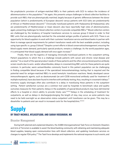the prophylactic provision of antigen-matched RBCs to their patients with SCD to reduce the incidence of alloimmunization in this population.<sup>26</sup> Yet again, this presents unique challenges to blood collection facilities to provide such RBCs that are phenotypically matched, largely because of genetic differences between the donor population (which is predominantly of European descent) versus patients with SCD (who are predominantly of African or Mediterranean descent).<sup>27</sup> Chronically transfused patients with thalassemia (β-thalassemia), who are predominantly of Mediterranean or Asian descent, also have reportedly high rates of alloimmunization, again, presenting challenges for blood collection centers to provide compatible RBCs.<sup>28</sup> Blood collection centers are challenged by the tendency of hospital transfusion services to overuse group O blood in order to find RBC units that are phenotypically matched for the extended antigen profile of patients with SCD. There is an opportunity for blood suppliers to work with their customer transfusion service and blood banks to partner with them to manage special requirements for patient transfusion needs with the best available product, including using type specific vs. group O blood.<sup>29</sup> Despite current efforts in blood conservation/management, ensuring the blood supply meets demand, particularly special products, remains a challenge. As the world population ages, it is anticipated that blood supply demand will once again increase.<sup>29</sup>

Finally, there are the logistics of managing chronically-transfused patients in the outpatient setting. Patient populations to which this is a challenge include patients with cancer and chronic renal disease and anemia.<sup>30</sup> As a result of the special product needs of these patients and the often-encountered positive antibody screen results due to auto- and/or alloantibodies, delays in crossmatching RBC units for these patients are quite common. In particular, warm autoantibodies commonly found in this patient population can be challenging in finding compatible blood because of the specialized immunohematology testing that is required and the potential need for antigen-matched RBCs to avoid hemolytic transfusion reactions. Newly developed cancer immunotherapeutic agents, such as daratumumab (an anti-CD38 monoclonal antibody used for treatment of multiple myeloma), have also been found to interfere with antibody testing, thus, resulting in crossmatch delays.<sup>31</sup> Inventory supply shortages often also contribute to a delay in transfusing these patients in the outpatient setting. Patient satisfaction surveys are a common tool used by hospitals to benchmark value and quality outcomes measures for their patients. Delays in the availability of special blood products may have detrimental effects to a hospital or clinic's ability to provide timely care.<sup>29,30,32</sup> Delays in the scheduling of treatment for outpatients, as well as delays in discharge/prolonging the length of stay, may occur, as some patients may need to be held overnight as an observation status outpatient until transfusion can be given. This may be a dissatisfier to patients and can result in increased costs for the hospital/clinic.<sup>29,30,32</sup>

### **Supply BY TRACY NICHOLS, MT(ASCP)SBB, AND SARAH VOSSOUGHI, MD**

#### **Disaster Management**

During both planned and unplanned disasters, the AABB Interorganizational Task Force on Domestic Disasters and Acts of Terrorism is available to assist the blood banking community with obtaining and maintaining adequate blood supplies, keeping open communication lines with blood collectors, and updating transfusion services on changes to regular FDA policy.<sup>33</sup> The Task Force develops and implements the national response to such events, and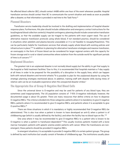the affected blood collector (BC), should contact AABB within one hour of the event whenever possible. Hospital transfusion services should contact their BC to communicate the current situation and needs as soon as possible after a disaster, so that information is provided in real time to the Task Force.<sup>34</sup>

#### **Planned Disasters**

Transfusion service leadership should be involved in the drafting and implementation of hospital disaster response plans. Furthermore, this plan should include collaboration and emergency contact instructions for the local/regional blood collection center(s).Hospital contingency planning should include conservative transfusion guidelines, so that the available supply can be triaged to the patients with most urgent need. The use of alternative massive transfusion protocols using whole blood, if not standard practice, should be considered in situations when platelets and plasma become unavailable or it is not feasible to resupply/thaw/store. This can be particularly helpful for transfusion services that already supply whole blood with existing policies and infrastructure in place.<sup>35,36</sup> In addition to planning for alternative transfusion strategies and massive transfusion, an oversupply in the form of frozen blood can be considered for larger regional centers with the capacity for frozen storage and in rural or island communities where isolation from the outside world for significant periods of time is of concern.36, 37

#### **Unplanned Disasters**

The greatest risk in an unplanned disaster is not normally blood supply but the ability to get that supply to the hospital or field treatment facilities.<sup>4</sup> Due to this, it is recommended that hospitals maintain a 7-day supply at all times in order to be prepared for the possibility of a disruption in the supply lines, which can happen both with natural disasters and terrorist attacks.<sup>33</sup>It is possible to plan for the unplanned disaster by using the strategic planning strategies mentioned above. In addition, training staff with disaster drills during times of relative calm can be an invaluable experience when the unexpected disaster strikes.<sup>6</sup>

#### **The Appropriate Use of Group O-Negative Red Blood Cells**

Since the universal donor is O-negative and may be used for patients of any blood type, they are sometimes used inappropriately. The US population consists of 7-10% O-negative individuals; however, the documented usage is about 5% greater. There are many resources that define criteria on how to dispense O-negative RBCs. The criteria is divided into three categories: patients where it is mandatory to give O-negative RBCs, patients where it is recommended to give O-negative RBCs, and patients where it is acceptable to give O-positive RBCs.<sup>38</sup>

There are three situations in which it is mandatory or highly recommended that O-negative RBCs be administered. This is also true when a patient is known to have developed an anti-D, when a patient is of childbearing age (which is usually defined by the facility), and when the facility has no blood type on file .<sup>7,38</sup>

One area where it may be recommended to give O-negative RBCs to a patient who is known to be O-negative is when a patient is transfusion-dependent.<sup>38</sup> This usually involves patients treated with a bone marrow transplant, patients with aplastic anemia and/or patients with cancer. When the transfusions are nonemergent, these patients should be provided O-negative RBCs.

In emergent situations, it is acceptable to provide O-negative RBCs to certain patient groups. The group is defined by each institution but usually consist of females of childbearing age. The institutions usually place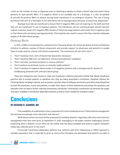a limit on the number of units to dispense prior to obtaining a sample to obtain a blood type and switch these patients to type-specific RBCs. If O-negative blood is not available due to a shortage, it is also acceptable to provide Rh-positive RBCs to anyone during initial transfusion in an emergent situation. The risk of being sensitized with anti-D is favorable to the alternative risk of exsanguination because no blood was dispensed.<sup>39</sup>

Wastage must also be monitored to ensure that O-negative RBCs are not expiring on the shelf and that they are not transfused to non O-negative patients. The transfusion service and blood bank should maintain realistic inventory levels of O-negative RBCs based on historical usage patterns and rotate the O-negative stock so that these units are being used appropriately. The hospitals also need to ensure that they maintain adequate supply of all other blood groups.

#### **Choosing Wisely**

In 2014, AABB recommended five statements for Choosing Wisely, the American Board of Internal Medicine initiative to address overuse of blood components and provide support to physicians and patients to enable them to make smarter choices with blood components. The statements all start with "don't":

- **•** "Don't transfuse more units of blood than absolutely necessary."
- **•** "Don't transfuse RBCs for iron deficiency without hemodynamic instability."
- **•** "Don't routinely use blood products to reverse warfarin."
- **•** "Don't perform serial blood counts on clinically stable patients."
- **•** "Don't transfuse O-negative blood except to O-negative patients and in emergencies for women of childbearing potential with unknown blood group.

These five statements were chosen to make non-transfusion medicine physicians rethink their liberal transfusion practices and to prompt patients to questions why they are being prescribed a transfusion. Hospitals utilizing the Choosing Wisely campaign material, such as posters, can place these in hallways, lunchrooms and other areas frequented by both the physicians, nurses and patients, to make them aware of these statements and prompt the questions and education that can lead to further reducing unnecessary transfusion. Unnecessary transfusions can diminish the supply of product available to transfusion-dependent patients as well as when needed for emergent needs.<sup>12</sup>

# **Conclusions**

#### **BY RICHARD R. GAMMON, MD**

The availability of a safe blood is a key component of current medical practice.<sup>1</sup> Patient blood management has become increasingly more important and relevant.<sup>3</sup>

While blood centers are much better prepared for handling disasters regarding collections and inventory management than they were prior to September 11, 2001, messaging to the public remains challenging. Donors presenting when a disaster occurs often do not realize that the blood available and used to support emergent needs was collected prior to the event.

Chronically transfusion-dependent patients (e.g., patients with SCD, thalassemia or MDS) represent a sizeable population that is expected to grow as more active therapies are developed and patients are able to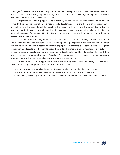live longer.<sup>16,17</sup> Delays in the availability of special requirement blood products may have the detrimental effects to a hospital's or clinic's ability to provide timely care.<sup>29,31</sup> This may be disadvantageous to patients, as well as result in increased costs for the hospital/clinic.<sup>29,31</sup>

For planned disasters (e.g., approaching hurricanes), transfusion service leadership should be involved in the drafting and implementation of a hospital-wide disaster response plans. For unplanned disasters, the greatest risk is in the ability to get that supply to the hospital or field treatment facilities.<sup>4</sup> Due to this, it is recommended that hospitals maintain an adequate inventory to serve their patient population at all times in order to be prepared for the possibility of a disruption in the supply lines, which can happen both with natural disasters and also terrorist attacks.<sup>31</sup>

Collecting and maintaining an appropriate blood supply that is robust enough to handle the routine and planned or unplanned disasters can be challenging. Public perceptions of the need for blood donation may not be realistic or what is needed to maintain appropriate inventory levels. Hospitals have an obligation to maintain an adequate blood supply to support patients. This means enough inventory to not delay care or result in surgery cancellations that increase patients' dissatisfaction and hospital costs and not contribute to the needless expiration and wastage of product. Collaboration of all parties would allow optimization of resources, improved patient care and ensure sustained and adequate blood supply.

Facilities should institute appropriate patient blood management plans and strategies. These would include establishing appropriate and adequate inventory levels to:

- **•** React and respond to internal and external disasters and disruptors to the blood supply chain
- **•** Ensure appropriate utilization of all products, particularly Group O and Rh-negative RBCs
- **•** Provide timely availability of products to meet the needs of chronically transfusion dependent patients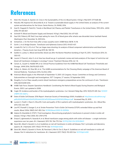# **References**

- **1** Klein HG, Hrouda JC, Epstein JS. Crisis in the Sustainability of the U.S. Blood System. N Engl J Med 2017; 377:1485-88.
- **2** Mulcahy AW, Kapinos KA, Briscombe B, et al. Toward a sustainable blood supply in the United States: an analysis of the current system and alternatives for the future. Santa Monica, CA: RAND, 2016.
- **3** Goel R, Chappidi M. Patel EU. Trends in Red Blood Cell, Plasma, and Platelet Transfusions in the United States, 1993-2014. JAMA 2018; 319: 825-827.
- **4** Schmidt PJ. Blood and Disaster Supply and Demand. N Engl J Med 2002; 346: 617-620.
- **5** Gaul GM, Flaherty MP. Red Cross kept asking for more: 5% of blood given after attacks was discarded: donor backlash feared. Washington Post. December 16, 2001:A34.
- **6** Schweitzer, J. On the front lines after a mass causality event. AABB News 08/18. 14-18.
- **7** Gorlin J. et al. Bridge Disaster. Transfusion and Apheresis Science 2013; 49:403-407.
- **8** Lozada MJ, Cai S, Li M, et al. The Las Vegas mass shooting: An analysis of blood component administration and blood bank donation. J Trauma Acute Care Surg 2019; 86: 128-133.
- **9** Quillen K, Luckey CJ. Blood and bombs: blood use after the Boston Marathon bombing of April 15, 2013. Transfusion 2014; 54: 1202-03.
- **10** Lauren S. Prescott, Jolyn S. et al. How low should we go: A systematic review and meta-analysis of the impact of restrictive red blood cell transfusion strategies in oncology? Cancer Treatment Reviews 2016; 46: 1-8.
- **11** Carson JL, Guyatt G, Heddle NM, et al. Clinical Practice Guidelines from the AABB Red Blood Cell Transfusion Thresholds and Storage. JAMA 2016; 316(19):2025-2035.
- **12** Callum JL, Waters JH, Shaz BH, et al., The AABB recommendations for the Choosing Wisely campaign of the American Board of Internal Medicine. Transfusion 2014; 54:2344-2352.
- **13** America's Blood Supply in the Aftermath of September 11, 2001. US Congress. House. Committee on Energy and Commerce. Subcommittee on Oversight and Investigations. 107<sup>th</sup> Congress, 2<sup>nd</sup> session, 10 September 2002.
- **14** Doughty, H, et al. Mass casualty events: blood transfusion emergency preparedness across the continuum of care. Transfusion 2016; 86(1):S208-S216.
- **15** AABB Task Force. Disaster Operations Handbook: Coordinating the Nation's Blood Supply During Disasters and Biological Events. 2003. Last updated in 2008.
- **16** Cogle CR. Incidence and burden of the myelodysplastic syndromes. Curr Hematol Malig Rep. 2015; 10(3):272-281. Doi: [10.1007/](https://link.springer.com/article/10.1007/s11899-015-0269-y) [s11899-015-0269-y](https://link.springer.com/article/10.1007/s11899-015-0269-y)
- **17** State of Sickle Cell Disease: 2016 Report. American Society of Hematology (ASH). Available at: [http://www.scdcoalition.org/](http://www.scdcoalition.org/pdfs/ASH%20State%20of%20Sickle%20Cell%20Disease%202016%20Report.pdf) [pdfs/ASH%20State%20of%20Sickle%20Cell%20Disease%202016%20Report.pdf](http://www.scdcoalition.org/pdfs/ASH%20State%20of%20Sickle%20Cell%20Disease%202016%20Report.pdf) Accessed May 25, 2019.
- **18** Lucioni C, Finelli C, Mazzi S, Oliva EN. Costs and quality of life in patients with myelodysplastic syndromes. Am J Blood Res. 2013; 3(3): 246–259.
- **19** Lee MT, Piomelli S, Granger S, et al. Stroke Prevention Trial in Sickle Cell Anemia (STOP): extended follow-up and final results. Blood. 2006; 108(3): 847–852. Doi: [10.1182/blood-2005-10-009506](http://www.bloodjournal.org/content/108/3/847?sso-checked=true)
- **20** Adams RJ, Brambilla D, STOP 2 Trial Investigators. Discontinuing prophylactic transfusions to prevent stroke in sickle cell disease. N Engl J Med. 2005; 353: 2769-2778.
- **21** Drasar E, Igbineweka N, Vasavda N, et al. Blood transfusion usage among adults with sickle cell disease a single institution experience over ten years. Br J Haematol. 2011; 152: 766-770. Doi: [10.1111/j.1365-2141.2010.08451](https://doi.org/10.1111/j.1365-2141.2010.08451.x)
- **22** Davis BA, Allard S, Qureshi A, et al. Guidelines on red cell transfusion in sickle cell disease. Part I: principles and laboratory aspects. Br J Haematol. 2017; 176(2): 179-191. Doi: [10.1111/bjh.14346](https://doi.org/10.1111/bjh.14346)
- **23** Davis BA, Allard S, Qureshi A, Porter JB, Pancham S, Win N, Cho G, Ryan K. Guidelines on red cell transfusion in sickle cell disease. Part II: indications for transfusion. Br J Haematol. 2017; 176(2): 192-209. Doi: [10.1111/bjh.14383](https://doi.org/10.1111/bjh.14383)